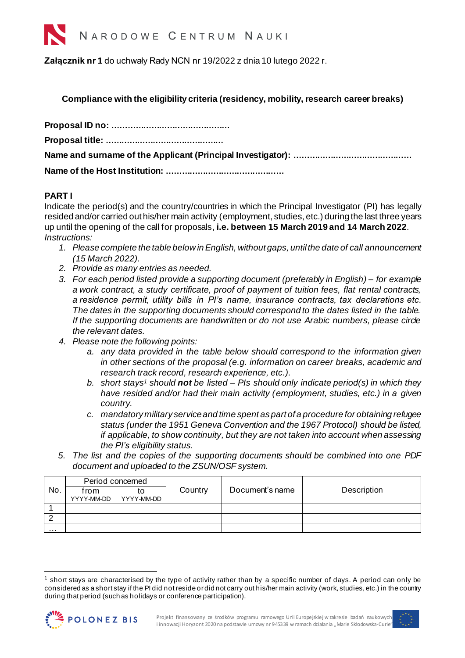

**Załącznik nr 1** do uchwały Rady NCN nr 19/2022 z dnia 10 lutego 2022 r.

**Compliance with the eligibility criteria (residency, mobility, research career breaks)**

## **PART I**

Indicate the period(s) and the country/countries in which the Principal Investigator (PI) has legally resided and/or carried out his/her main activity (employment, studies, etc.) during the last three years up until the opening of the call for proposals, **i.e. between 15 March 2019 and 14 March 2022**. *Instructions:*

- *1. Please complete the table below in English, without gaps, until the date of call announcement (15 March 2022).*
- *2. Provide as many entries as needed.*
- *3. For each period listed provide a supporting document (preferably in English) – for example a work contract, a study certificate, proof of payment of tuition fees, flat rental contracts, a residence permit, utility bills in PI's name, insurance contracts, tax declarations etc. The dates in the supporting documents should correspond to the dates listed in the table. If the supporting documents are handwritten or do not use Arabic numbers, please circle the relevant dates.*
- *4. Please note the following points:*
	- *a. any data provided in the table below should correspond to the information given in other sections of the proposal (e.g. information on career breaks, academic and research track record, research experience, etc.).*
	- *b. short stays<sup>1</sup> should not be listed – PIs should only indicate period(s) in which they have resided and/or had their main activity (employment, studies, etc.) in a given country.*
	- *c. mandatory military service and time spent as part of a procedure for obtaining refugee status (under the 1951 Geneva Convention and the 1967 Protocol) should be listed, if applicable, to show continuity, but they are not taken into account when assessing the PI's eligibility status.*
- *5. The list and the copies of the supporting documents should be combined into one PDF document and uploaded to the ZSUN/OSF system.*

|     | Period concerned   |            |         |                 |             |
|-----|--------------------|------------|---------|-----------------|-------------|
| No. | trom<br>YYYY-MM-DD | YYYY-MM-DD | Country | Document's name | Description |
|     |                    |            |         |                 |             |
|     |                    |            |         |                 |             |
|     |                    |            |         |                 |             |
| .   |                    |            |         |                 |             |

short stays are characterised by the type of activity rather than by a specific number of days. A period can only be considered as a short stay if the PI did not reside or did not carry out his/her main activity (work, studies, etc.) in the country during that period (such as holidays or conference participation).